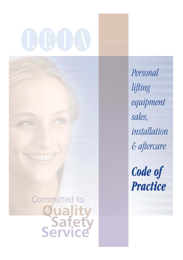Committed to **Quality<br>Safety**<br>Service Personal lifting equipment sales, installation & aftercare

Code of **Practice**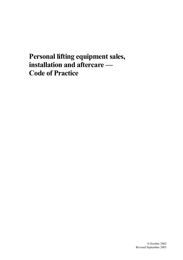# **Personal lifting equipment sales, installation and aftercare — Code of Practice**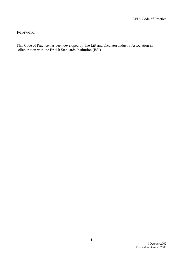# **Foreword**

This Code of Practice has been developed by The Lift and Escalator Industry Association in collaboration with the British Standards Institution (BSI).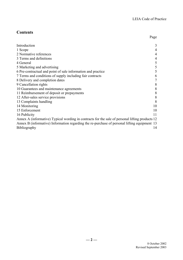# **Contents**

|                                                                                                 | Page |
|-------------------------------------------------------------------------------------------------|------|
| Introduction                                                                                    | 3    |
| 1 Scope                                                                                         | 4    |
| 2 Normative references                                                                          | 4    |
| 3 Terms and definitions                                                                         | 4    |
| 4 General                                                                                       | 5    |
| 5 Marketing and advertising                                                                     | 5    |
| 6 Pre-contractual and point of sale information and practice                                    | 5    |
| 7 Terms and conditions of supply including fair contracts                                       | 6    |
| 8 Delivery and completion dates                                                                 |      |
| 9 Cancellation rights                                                                           | 8    |
| 10 Guarantees and maintenance agreements                                                        | 8    |
| 11 Reimbursement of deposit or prepayments                                                      | 8    |
| 12 After-sales service provisions                                                               | 8    |
| 13 Complaints handling                                                                          | 8    |
| 14 Monitoring                                                                                   | 10   |
| 15 Enforcement                                                                                  | 10   |
| 16 Publicity                                                                                    | 11   |
| Annex A (informative) Typical wording in contracts for the sale of personal lifting products 12 |      |
| Annex B (informative) Information regarding the re-purchase of personal lifting equipment 13    |      |
| <b>Bibliography</b>                                                                             | 14   |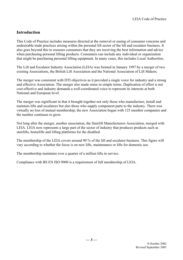# <span id="page-4-0"></span>**Introduction**

This Code of Practice includes measures directed at the removal or easing of consumer concerns and undesirable trade practices arising within the personal lift sector of the lift and escalator business. It also goes beyond this to reassure consumers that they are receiving the best information and advice when purchasing personal lifting products. Consumers can include any individual or organization that might be purchasing personal lifting equipment. In many cases, this includes Local Authorities.

The Lift and Escalator Industry Association (LEIA) was formed in January 1997 by a merger of two existing Associations, the British Lift Association and the National Association of Lift Makers.

The merger was consistent with DTI objectives as it provided a single voice for industry and a strong and effective Association. The merger also made sense in simple terms. Duplication of effort is not cost-effective and industry demands a well-coordinated voice to represent its interests at both National and European level.

The merger was significant in that it brought together not only those who manufacture, install and maintain lifts and escalators but also those who supply component parts to the industry. There was virtually no loss of mutual membership; the new Association began with 125 member companies and the number continues to grow.

Not long after the merger, another association, the Stairlift Manufacturers Association, merged with LEIA. LEIA now represents a large part of the sector of industry that produces products such as stairlifts, homelifts and lifting platforms for the disabled.

The membership of the LEIA covers around 90 % of the lift and escalator business. This figure will vary according to whether the focus is on new lifts, maintenance or lifts for domestic use.

The membership maintains over a quarter of a million lifts in service.

Compliance with BS EN ISO 9000 is a requirement of full membership of LEIA.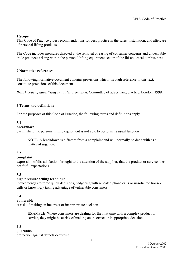#### <span id="page-5-0"></span>**1 Scope**

This Code of Practice gives recommendations for best practice in the sales, installation, and aftercare of personal lifting products.

The Code includes measures directed at the removal or easing of consumer concerns and undesirable trade practices arising within the personal lifting equipment sector of the lift and escalator business.

#### <span id="page-5-1"></span>**2 Normative references**

The following normative document contains provisions which, through reference in this text, constitute provisions of this document.

*British code of advertising and sales promotion*. Committee of advertising practice. London, 1999.

#### <span id="page-5-2"></span>**3 Terms and definitions**

For the purposes of this Code of Practice, the following terms and definitions apply.

#### **3.1**

#### **breakdown**

event where the personal lifting equipment is not able to perform its usual function

NOTE A breakdown is different from a complaint and will normally be dealt with as a matter of urgency.

#### **3.2**

#### **complaint**

expression of dissatisfaction, brought to the attention of the supplier, that the product or service does not fulfil expectations

#### **3.3**

#### **high pressure selling technique**

inducement(s) to force quick decisions, badgering with repeated phone calls or unsolicited housecalls or knowingly taking advantage of vulnerable consumers

#### **3.4**

#### **vulnerable**

at risk of making an incorrect or inappropriate decision

EXAMPLE Where consumers are dealing for the first time with a complex product or service, they might be at risk of making an incorrect or inappropriate decision.

#### **3.5**

#### **guarantee**

protection against defects occurring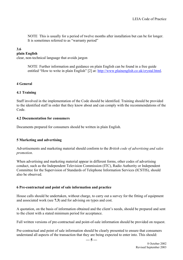NOTE This is usually for a period of twelve months after installation but can be for longer. It is sometimes referred to as "warranty period"

#### **3.6**

#### **plain English**

clear, non-technical language that avoids jargon

NOTE Further information and guidance on plain English can be found in a free guide entitled "How to write in plain English" [2] at: [http://www.plainenglish.co.uk/crystal.html.](http://www.plainenglish.co.uk/crystal.html)

#### <span id="page-6-0"></span>**4 General**

#### **4.1 Training**

Staff involved in the implementation of the Code should be identified. Training should be provided to the identified staff in order that they know about and can comply with the recommendations of the Code.

#### **4.2 Documentation for consumers**

Documents prepared for consumers should be written in plain English.

#### <span id="page-6-1"></span>**5 Marketing and advertising**

Advertisements and marketing material should conform to the *British code of advertising and sales promotion*.

When advertising and marketing material appear in different forms, other codes of advertising conduct, such as the Independent Television Commission (ITC), Radio Authority or Independent Committee for the Supervision of Standards of Telephone Information Services (ICSTIS), should also be observed.

#### <span id="page-6-2"></span>**6 Pre-contractual and point of sale information and practice**

House calls should be undertaken, without charge, to carry out a survey for the fitting of equipment and associated work (see **7.3**) and for advising on types and cost.

A quotation, on the basis of information obtained and the client's needs, should be prepared and sent to the client with a stated minimum period for acceptance.

Full written versions of pre-contractual and point-of-sale information should be provided on request.

Pre-contractual and point of sale information should be clearly presented to ensure that consumers understand all aspects of the transaction that they are being expected to enter into. This should: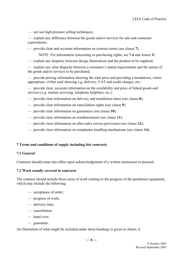— not use high pressure selling techniques;

— explain any difference between the goods and/or services for sale and consumer expectations;

— provide clear and accurate information on contract terms (see clause **7**);

NOTE For information concerning re-purchasing rights, see **7.4** and Annex B.

— explain any disparity between design illustrations and the product to be supplied;

— explain any clear disparity between a consumer's stated requirements and the nature of the goods and/or services to be purchased;

— provide pricing information showing the total price and providing a breakdown, where appropriate, of that total showing e.g. delivery, VAT and credit charges, etc.;

— provide clear, accurate information on the availability and price of linked goods and services (e.g. routine servicing, telephone helplines, etc.);

— provide clear information on delivery and installation dates (see clause **8**);

- provide clear information on cancellation rights (see clause **9**);
- provide clear information on guarantees (see clause **10**);
- provide clear information on reimbursement (see clause **11**);
- provide clear information on after-sales service provisions (see clause **12**);
- provide clear information on complaints handling mechanisms (see clause **14**);

#### <span id="page-7-0"></span>**7 Terms and conditions of supply including fair contracts**

#### **7.1 General**

Contracts should come into effect upon acknowledgement of a written instruction to proceed.

#### **7.2 Work usually covered in contracts**

The contract should include those areas of work relating to the progress of the purchased equipment, which may include the following:

- acceptance of order;
- progress of work;
- delivery time;
- cancellation;
- hand over;
- guarantee.

An illustration of what might be included under these headings is given in Annex A.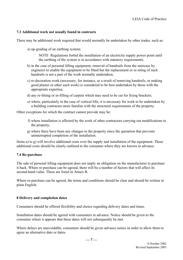#### **7.3 Additional work not usually found in contracts**

There may be additional work required that would normally be undertaken by other trades, such as:

a) up-grading of an earthing system;

NOTE Regulations forbid the installation of an electricity supply power point until the earthing of the system is in accordance with statutory requirements.

- b) in the case of personal lifting equipment, removal of handrails from the staircase by engineers to enable the equipment to be fitted but the replacement or re-siting of such handrails is not a part of the work normally undertaken;
- c) re-decoration work (necessary, for instance, as a result of removing handrails, or making good plaster or other such work) is considered to be best undertaken by those with the appropriate expertise;
- d) any re-fitting or in-filling of carpets which may need to be cut for fixing brackets;
- e) where, particularly in the case of vertical lifts, it is necessary for work to be undertaken by a building contractor more familiar with the structural requirements of the property.

Other exceptions for which the contract cannot provide may be:

- f) where installation is affected by the work of other contractors carrying out modifications to the property;
- g) where there have been any changes to the property since the quotation that prevents uninterrupted completion of the installation.

Items a) to g) will involve additional costs over the supply and installation of the equipment. These additional costs should be clearly outlined to the consumer where they are known in advance.

#### **7.4 Re-purchase**

The sale of personal lifting equipment does not imply an obligation on the manufacturer to purchase it back. Where re-purchase can be agreed, there will be a number of factors that will affect its second-hand value. These are listed in Annex B.

Where re-purchase can be agreed, the terms and conditions should be clear and should be written in plain English.

#### <span id="page-8-0"></span>**8 Delivery and completion dates**

Consumers should be offered flexibility and choice regarding delivery dates and times.

Installation dates should be agreed with consumers in advance. Notice should be given to the consumer where it appears that these dates will not subsequently be met.

Where delays are unavoidable, consumers should be given advance notice in order to allow them to agree an alternative date or dates.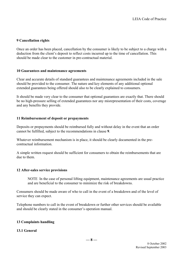#### <span id="page-9-0"></span>**9 Cancellation rights**

Once an order has been placed, cancellation by the consumer is likely to be subject to a charge with a deduction from the client's deposit to reflect costs incurred up to the time of cancellation. This should be made clear to the customer in pre-contractual material.

#### <span id="page-9-1"></span>**10 Guarantees and maintenance agreements**

Clear and accurate details of standard guarantees and maintenance agreements included in the sale should be provided to the consumer. The nature and key elements of any additional optional extended guarantees being offered should also to be clearly explained to consumers.

It should be made very clear to the consumer that optional guarantees are exactly that. There should be no high-pressure selling of extended guarantees nor any misrepresentation of their costs, coverage and any benefits they provide.

#### <span id="page-9-2"></span>**11 Reimbursement of deposit or prepayments**

Deposits or prepayments should be reimbursed fully and without delay in the event that an order cannot be fulfilled, subject to the recommendations in clause **9**.

Whatever reimbursement mechanism is in place, it should be clearly documented in the precontractual information.

A simple written request should be sufficient for consumers to obtain the reimbursements that are due to them.

#### <span id="page-9-3"></span>**12 After-sales service provisions**

NOTE In the case of personal lifting equipment, maintenance agreements are usual practice and are beneficial to the consumer to minimize the risk of breakdowns.

Consumers should be made aware of who to call in the event of a breakdown and of the level of service they can expect.

Telephone numbers to call in the event of breakdown or further other services should be available and should be clearly stated in the consumer's operation manual.

#### <span id="page-9-4"></span>**13 Complaints handling**

#### **13.1 General**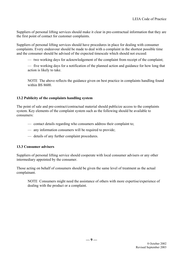Suppliers of personal lifting services should make it clear in pre-contractual information that they are the first point of contact for customer complaints.

Suppliers of personal lifting services should have procedures in place for dealing with consumer complaints. Every endeavour should be made to deal with a complaint in the shortest possible time and the consumer should be advised of the expected timescale which should not exceed:

— two working days for acknowledgement of the complaint from receipt of the complaint;

— five working days for a notification of the planned action and guidance for how long that action is likely to take.

NOTE The above reflects the guidance given on best practice in complaints handling found within BS 8600.

### **13.2 Publicity of the complaints handling system**

The point of sale and pre-contract/contractual material should publicize access to the complaints system. Key elements of the complaint system such as the following should be available to consumers:

- contact details regarding who consumers address their complaint to;
- any information consumers will be required to provide;
- details of any further complaint procedures.

#### **13.3 Consumer advisers**

Suppliers of personal lifting service should cooperate with local consumer advisers or any other intermediary appointed by the consumer.

Those acting on behalf of consumers should be given the same level of treatment as the actual complainant.

NOTE Consumers might need the assistance of others with more expertise/experience of dealing with the product or a complaint.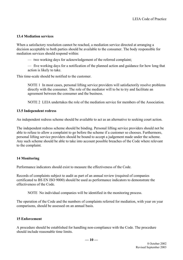#### **13.4 Mediation services**

When a satisfactory resolution cannot be reached, a mediation service directed at arranging a decision acceptable to both parties should be available to the consumer. The body responsible for mediation services should respond within:

— two working days for acknowledgement of the referred complaint;

— five working days for a notification of the planned action and guidance for how long that action is likely to take.

This time-scale should be notified to the customer.

NOTE 1 In most cases, personal lifting service providers will satisfactorily resolve problems directly with the consumer. The role of the mediator will to be to try and facilitate an agreement between the consumer and the business.

NOTE 2 LEIA undertakes the role of the mediation service for members of the Association.

#### **13.5 Independent redress**

An independent redress scheme should be available to act as an alternative to seeking court action.

The independent redress scheme should be binding. Personal lifting service providers should not be able to refuse to allow a complaint to go before the scheme if a customer so chooses. Furthermore, personal lifting service providers should be bound to accept a judgement made under the scheme. Any such scheme should be able to take into account possible breaches of the Code where relevant to the complaint.

#### <span id="page-11-0"></span>**14 Monitoring**

Performance indicators should exist to measure the effectiveness of the Code.

Records of complaints subject to audit as part of an annual review (required of companies certificated to BS EN ISO 9000) should be used as performance indicators to demonstrate the effectiveness of the Code.

NOTE No individual companies will be identified in the monitoring process.

The operation of the Code and the numbers of complaints referred for mediation, with year on year comparisons, should be assessed on an annual basis.

#### <span id="page-11-1"></span>**15 Enforcement**

A procedure should be established for handling non-compliance with the Code. The procedure should include reasonable time limits.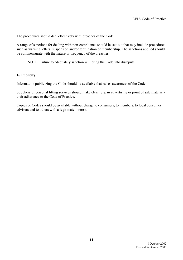The procedures should deal effectively with breaches of the Code.

A range of sanctions for dealing with non-compliance should be set-out that may include procedures such as warning letters, suspension and/or termination of membership. The sanctions applied should be commensurate with the nature or frequency of the breaches.

NOTE Failure to adequately sanction will bring the Code into disrepute.

#### <span id="page-12-0"></span>**16 Publicity**

Information publicizing the Code should be available that raises awareness of the Code.

Suppliers of personal lifting services should make clear (e.g. in advertising or point of sale material) their adherence to the Code of Practice.

Copies of Codes should be available without charge to consumers, to members, to local consumer advisers and to others with a legitimate interest.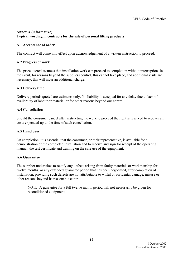# <span id="page-13-0"></span>**Annex A (informative) Typical wording in contracts for the sale of personal lifting products**

# **A.1 Acceptance of order**

The contract will come into effect upon acknowledgement of a written instruction to proceed.

# **A.2 Progress of work**

The price quoted assumes that installation work can proceed to completion without interruption. In the event, for reasons beyond the suppliers control, this cannot take place, and additional visits are necessary, this will incur an additional charge.

# **A.3 Delivery time**

Delivery periods quoted are estimates only. No liability is accepted for any delay due to lack of availability of labour or material or for other reasons beyond our control.

# **A.4 Cancellation**

Should the consumer cancel after instructing the work to proceed the right is reserved to recover all costs expended up to the time of such cancellation.

# **A.5 Hand over**

On completion, it is essential that the consumer, or their representative, is available for a demonstration of the completed installation and to receive and sign for receipt of the operating manual, the test certificate and training on the safe use of the equipment.

# **A.6 Guarantee**

The supplier undertakes to rectify any defects arising from faulty materials or workmanship for twelve months, or any extended guarantee period that has been negotiated, after completion of installation, providing such defects are not attributable to wilful or accidental damage, misuse or other reasons beyond its reasonable control.

NOTE A guarantee for a full twelve month period will not necessarily be given for reconditioned equipment.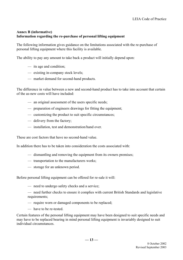# <span id="page-14-0"></span>**Annex B (informative) Information regarding the re-purchase of personal lifting equipment**

The following information gives guidance on the limitations associated with the re-purchase of personal lifting equipment where this facility is available.

The ability to pay any amount to take back a product will initially depend upon:

- its age and condition;
- existing in-company stock levels;
- market demand for second-hand products.

The difference in value between a new and second-hand product has to take into account that certain of the as-new costs will have included:

- an original assessment of the users specific needs;
- preparation of engineers drawings for fitting the equipment;
- customizing the product to suit specific circumstances;
- delivery from the factory;
- installation, test and demonstration/hand over.

These are cost factors that have no second-hand value.

In addition there has to be taken into consideration the costs associated with:

- dismantling and removing the equipment from its owners premises;
- transportation to the manufacturers works;
- storage for an unknown period.

Before personal lifting equipment can be offered for re-sale it will:

- need to undergo safety checks and a service;
- need further checks to ensure it complies with current British Standards and legislative requirements;
- require worn or damaged components to be replaced;
- have to be re-tested.

Certain features of the personal lifting equipment may have been designed to suit specific needs and may have to be replaced bearing in mind personal lifting equipment is invariably designed to suit individual circumstances.